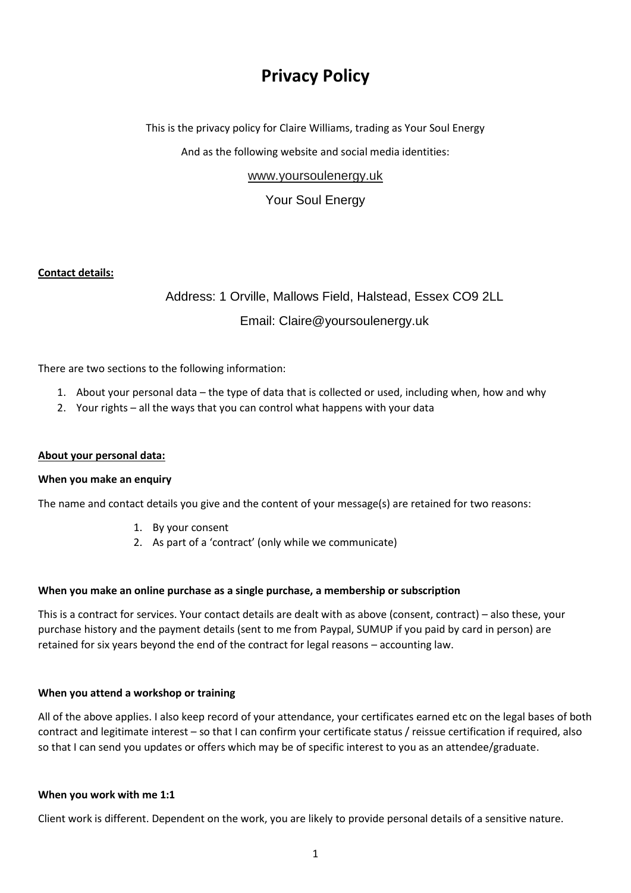# **Privacy Policy**

This is the privacy policy for Claire Williams, trading as Your Soul Energy

And as the following website and social media identities:

[www.yoursoulenergy.uk](http://www.yoursoulenergy.uk/)

Your Soul Energy

## **Contact details:**

Address: 1 Orville, Mallows Field, Halstead, Essex CO9 2LL Email: Claire@yoursoulenergy.uk

There are two sections to the following information:

- 1. About your personal data the type of data that is collected or used, including when, how and why
- 2. Your rights all the ways that you can control what happens with your data

### **About your personal data:**

### **When you make an enquiry**

The name and contact details you give and the content of your message(s) are retained for two reasons:

- 1. By your consent
- 2. As part of a 'contract' (only while we communicate)

### **When you make an online purchase as a single purchase, a membership or subscription**

This is a contract for services. Your contact details are dealt with as above (consent, contract) – also these, your purchase history and the payment details (sent to me from Paypal, SUMUP if you paid by card in person) are retained for six years beyond the end of the contract for legal reasons – accounting law.

### **When you attend a workshop or training**

All of the above applies. I also keep record of your attendance, your certificates earned etc on the legal bases of both contract and legitimate interest – so that I can confirm your certificate status / reissue certification if required, also so that I can send you updates or offers which may be of specific interest to you as an attendee/graduate.

#### **When you work with me 1:1**

Client work is different. Dependent on the work, you are likely to provide personal details of a sensitive nature.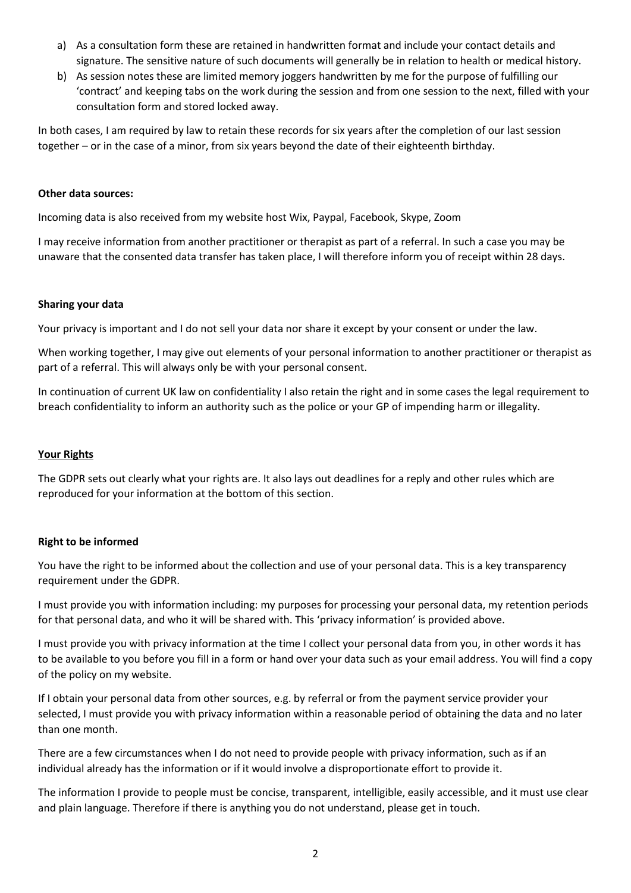- a) As a consultation form these are retained in handwritten format and include your contact details and signature. The sensitive nature of such documents will generally be in relation to health or medical history.
- b) As session notes these are limited memory joggers handwritten by me for the purpose of fulfilling our 'contract' and keeping tabs on the work during the session and from one session to the next, filled with your consultation form and stored locked away.

In both cases, I am required by law to retain these records for six years after the completion of our last session together – or in the case of a minor, from six years beyond the date of their eighteenth birthday.

### **Other data sources:**

Incoming data is also received from my website host Wix, Paypal, Facebook, Skype, Zoom

I may receive information from another practitioner or therapist as part of a referral. In such a case you may be unaware that the consented data transfer has taken place, I will therefore inform you of receipt within 28 days.

## **Sharing your data**

Your privacy is important and I do not sell your data nor share it except by your consent or under the law.

When working together, I may give out elements of your personal information to another practitioner or therapist as part of a referral. This will always only be with your personal consent.

In continuation of current UK law on confidentiality I also retain the right and in some cases the legal requirement to breach confidentiality to inform an authority such as the police or your GP of impending harm or illegality.

## **Your Rights**

The GDPR sets out clearly what your rights are. It also lays out deadlines for a reply and other rules which are reproduced for your information at the bottom of this section.

### **Right to be informed**

You have the right to be informed about the collection and use of your personal data. This is a key transparency requirement under the GDPR.

I must provide you with information including: my purposes for processing your personal data, my retention periods for that personal data, and who it will be shared with. This 'privacy information' is provided above.

I must provide you with privacy information at the time I collect your personal data from you, in other words it has to be available to you before you fill in a form or hand over your data such as your email address. You will find a copy of the policy on my website.

If I obtain your personal data from other sources, e.g. by referral or from the payment service provider your selected, I must provide you with privacy information within a reasonable period of obtaining the data and no later than one month.

There are a few circumstances when I do not need to provide people with privacy information, such as if an individual already has the information or if it would involve a disproportionate effort to provide it.

The information I provide to people must be concise, transparent, intelligible, easily accessible, and it must use clear and plain language. Therefore if there is anything you do not understand, please get in touch.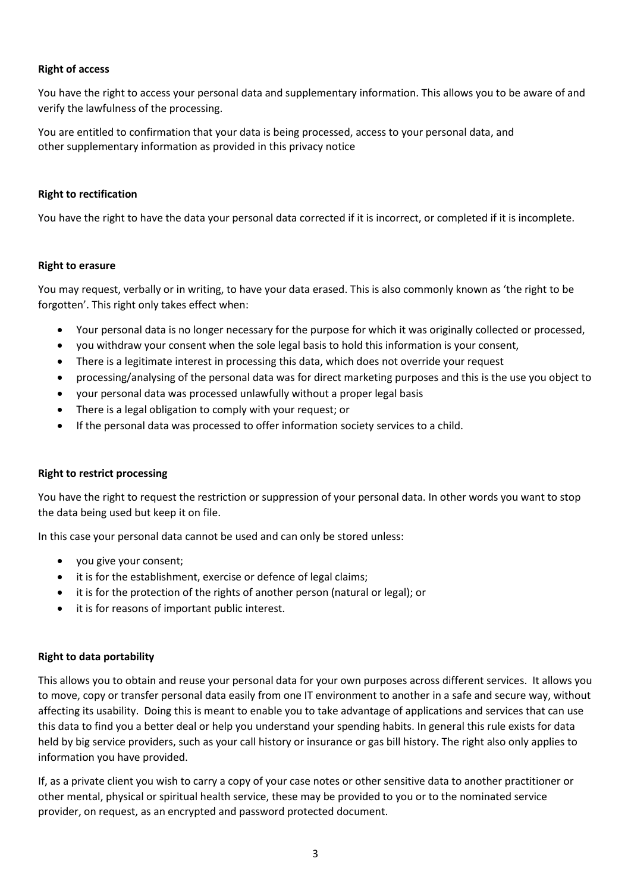## **Right of access**

You have the right to access your personal data and supplementary information. This allows you to be aware of and verify the lawfulness of the processing.

You are entitled to confirmation that your data is being processed, access to your personal data, and other supplementary information as provided in this privacy notice

## **Right to rectification**

You have the right to have the data your personal data corrected if it is incorrect, or completed if it is incomplete.

### **Right to erasure**

You may request, verbally or in writing, to have your data erased. This is also commonly known as 'the right to be forgotten'. This right only takes effect when:

- Your personal data is no longer necessary for the purpose for which it was originally collected or processed,
- you withdraw your consent when the sole legal basis to hold this information is your consent,
- There is a legitimate interest in processing this data, which does not override your request
- processing/analysing of the personal data was for direct marketing purposes and this is the use you object to
- your personal data was processed unlawfully without a proper legal basis
- There is a legal obligation to comply with your request; or
- If the personal data was processed to offer information society services to a child.

### **Right to restrict processing**

You have the right to request the restriction or suppression of your personal data. In other words you want to stop the data being used but keep it on file.

In this case your personal data cannot be used and can only be stored unless:

- you give your consent;
- it is for the establishment, exercise or defence of legal claims;
- it is for the protection of the rights of another person (natural or legal); or
- it is for reasons of important public interest.

### **Right to data portability**

This allows you to obtain and reuse your personal data for your own purposes across different services. It allows you to move, copy or transfer personal data easily from one IT environment to another in a safe and secure way, without affecting its usability. Doing this is meant to enable you to take advantage of applications and services that can use this data to find you a better deal or help you understand your spending habits. In general this rule exists for data held by big service providers, such as your call history or insurance or gas bill history. The right also only applies to information you have provided.

If, as a private client you wish to carry a copy of your case notes or other sensitive data to another practitioner or other mental, physical or spiritual health service, these may be provided to you or to the nominated service provider, on request, as an encrypted and password protected document.